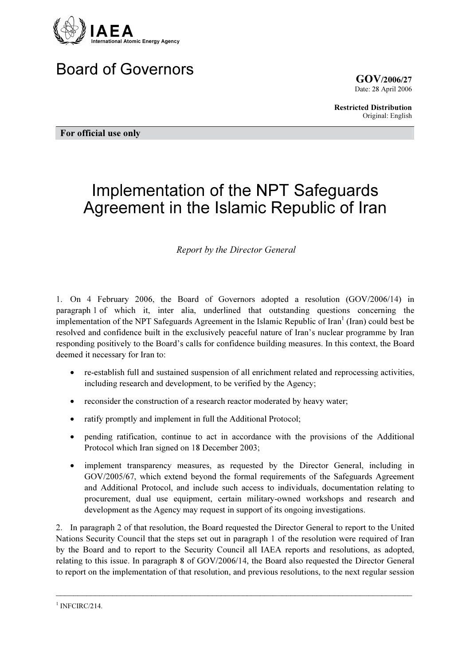

## Board of Governors

GOV/2006/27 Date: 28 April 2006

Restricted Distribution Original: English

For official use only

# Implementation of the NPT Safeguards Agreement in the Islamic Republic of Iran

Report by the Director General

1. On 4 February 2006, the Board of Governors adopted a resolution (GOV/2006/14) in paragraph 1 of which it, inter alia, underlined that outstanding questions concerning the implementation of the NPT Safeguards Agreement in the Islamic Republic of Iran<sup>1</sup> (Iran) could best be resolved and confidence built in the exclusively peaceful nature of Iran's nuclear programme by Iran responding positively to the Board's calls for confidence building measures. In this context, the Board deemed it necessary for Iran to:

- re-establish full and sustained suspension of all enrichment related and reprocessing activities, including research and development, to be verified by the Agency;
- reconsider the construction of a research reactor moderated by heavy water;
- ratify promptly and implement in full the Additional Protocol;
- pending ratification, continue to act in accordance with the provisions of the Additional Protocol which Iran signed on 18 December 2003;
- implement transparency measures, as requested by the Director General, including in GOV/2005/67, which extend beyond the formal requirements of the Safeguards Agreement and Additional Protocol, and include such access to individuals, documentation relating to procurement, dual use equipment, certain military-owned workshops and research and development as the Agency may request in support of its ongoing investigations.

2. In paragraph 2 of that resolution, the Board requested the Director General to report to the United Nations Security Council that the steps set out in paragraph 1 of the resolution were required of Iran by the Board and to report to the Security Council all IAEA reports and resolutions, as adopted, relating to this issue. In paragraph 8 of GOV/2006/14, the Board also requested the Director General to report on the implementation of that resolution, and previous resolutions, to the next regular session

<sup>&</sup>lt;sup>1</sup> INFCIRC/214.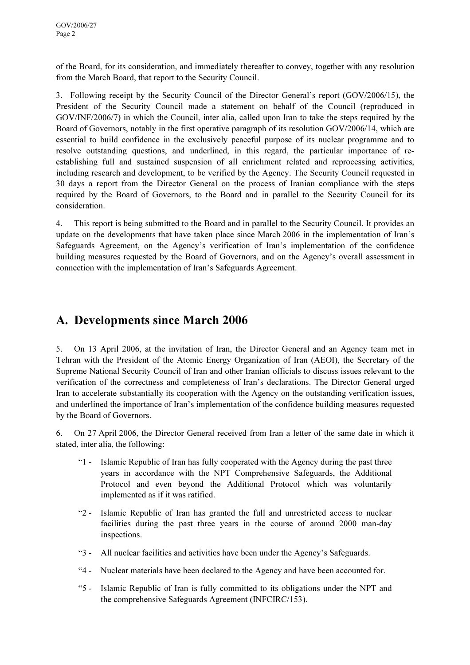of the Board, for its consideration, and immediately thereafter to convey, together with any resolution from the March Board, that report to the Security Council.

3. Following receipt by the Security Council of the Director General's report (GOV/2006/15), the President of the Security Council made a statement on behalf of the Council (reproduced in GOV/INF/2006/7) in which the Council, inter alia, called upon Iran to take the steps required by the Board of Governors, notably in the first operative paragraph of its resolution GOV/2006/14, which are essential to build confidence in the exclusively peaceful purpose of its nuclear programme and to resolve outstanding questions, and underlined, in this regard, the particular importance of reestablishing full and sustained suspension of all enrichment related and reprocessing activities, including research and development, to be verified by the Agency. The Security Council requested in 30 days a report from the Director General on the process of Iranian compliance with the steps required by the Board of Governors, to the Board and in parallel to the Security Council for its consideration.

4. This report is being submitted to the Board and in parallel to the Security Council. It provides an update on the developments that have taken place since March 2006 in the implementation of Iran's Safeguards Agreement, on the Agency's verification of Iran's implementation of the confidence building measures requested by the Board of Governors, and on the Agency's overall assessment in connection with the implementation of Iran's Safeguards Agreement.

## A. Developments since March 2006

5. On 13 April 2006, at the invitation of Iran, the Director General and an Agency team met in Tehran with the President of the Atomic Energy Organization of Iran (AEOI), the Secretary of the Supreme National Security Council of Iran and other Iranian officials to discuss issues relevant to the verification of the correctness and completeness of Iran's declarations. The Director General urged Iran to accelerate substantially its cooperation with the Agency on the outstanding verification issues, and underlined the importance of Iran's implementation of the confidence building measures requested by the Board of Governors.

6. On 27 April 2006, the Director General received from Iran a letter of the same date in which it stated, inter alia, the following:

- "1 Islamic Republic of Iran has fully cooperated with the Agency during the past three years in accordance with the NPT Comprehensive Safeguards, the Additional Protocol and even beyond the Additional Protocol which was voluntarily implemented as if it was ratified.
- "2 Islamic Republic of Iran has granted the full and unrestricted access to nuclear facilities during the past three years in the course of around 2000 man-day inspections.
- "3 All nuclear facilities and activities have been under the Agency's Safeguards.
- "4 Nuclear materials have been declared to the Agency and have been accounted for.
- "5 Islamic Republic of Iran is fully committed to its obligations under the NPT and the comprehensive Safeguards Agreement (INFCIRC/153).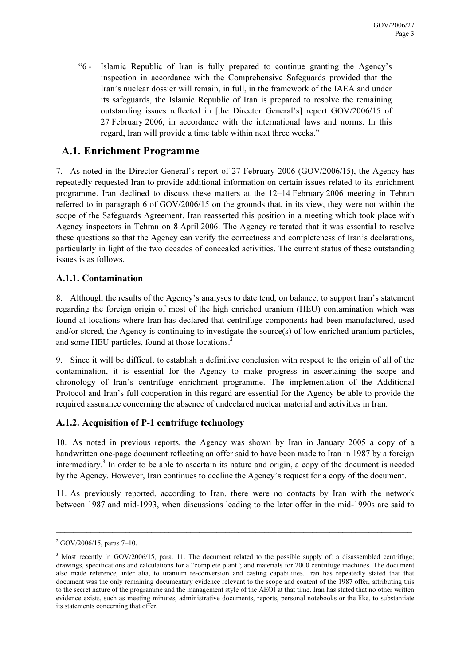"6 - Islamic Republic of Iran is fully prepared to continue granting the Agency's inspection in accordance with the Comprehensive Safeguards provided that the Iran's nuclear dossier will remain, in full, in the framework of the IAEA and under its safeguards, the Islamic Republic of Iran is prepared to resolve the remaining outstanding issues reflected in [the Director General's] report GOV/2006/15 of 27 February 2006, in accordance with the international laws and norms. In this regard, Iran will provide a time table within next three weeks."

#### A.1. Enrichment Programme

7. As noted in the Director General's report of 27 February 2006 (GOV/2006/15), the Agency has repeatedly requested Iran to provide additional information on certain issues related to its enrichment programme. Iran declined to discuss these matters at the 12–14 February 2006 meeting in Tehran referred to in paragraph 6 of GOV/2006/15 on the grounds that, in its view, they were not within the scope of the Safeguards Agreement. Iran reasserted this position in a meeting which took place with Agency inspectors in Tehran on 8 April 2006. The Agency reiterated that it was essential to resolve these questions so that the Agency can verify the correctness and completeness of Iran's declarations, particularly in light of the two decades of concealed activities. The current status of these outstanding issues is as follows.

#### A.1.1. Contamination

8. Although the results of the Agency's analyses to date tend, on balance, to support Iran's statement regarding the foreign origin of most of the high enriched uranium (HEU) contamination which was found at locations where Iran has declared that centrifuge components had been manufactured, used and/or stored, the Agency is continuing to investigate the source(s) of low enriched uranium particles, and some HEU particles, found at those locations.<sup>2</sup>

9. Since it will be difficult to establish a definitive conclusion with respect to the origin of all of the contamination, it is essential for the Agency to make progress in ascertaining the scope and chronology of Iran's centrifuge enrichment programme. The implementation of the Additional Protocol and Iran's full cooperation in this regard are essential for the Agency be able to provide the required assurance concerning the absence of undeclared nuclear material and activities in Iran.

#### A.1.2. Acquisition of P-1 centrifuge technology

10. As noted in previous reports, the Agency was shown by Iran in January 2005 a copy of a handwritten one-page document reflecting an offer said to have been made to Iran in 1987 by a foreign intermediary.<sup>3</sup> In order to be able to ascertain its nature and origin, a copy of the document is needed by the Agency. However, Iran continues to decline the Agency's request for a copy of the document.

11. As previously reported, according to Iran, there were no contacts by Iran with the network between 1987 and mid-1993, when discussions leading to the later offer in the mid-1990s are said to

 $^{2}$  GOV/2006/15, paras 7-10.

<sup>&</sup>lt;sup>3</sup> Most recently in GOV/2006/15, para. 11. The document related to the possible supply of: a disassembled centrifuge; drawings, specifications and calculations for a "complete plant"; and materials for 2000 centrifuge machines. The document also made reference, inter alia, to uranium re-conversion and casting capabilities. Iran has repeatedly stated that that document was the only remaining documentary evidence relevant to the scope and content of the 1987 offer, attributing this to the secret nature of the programme and the management style of the AEOI at that time. Iran has stated that no other written evidence exists, such as meeting minutes, administrative documents, reports, personal notebooks or the like, to substantiate its statements concerning that offer.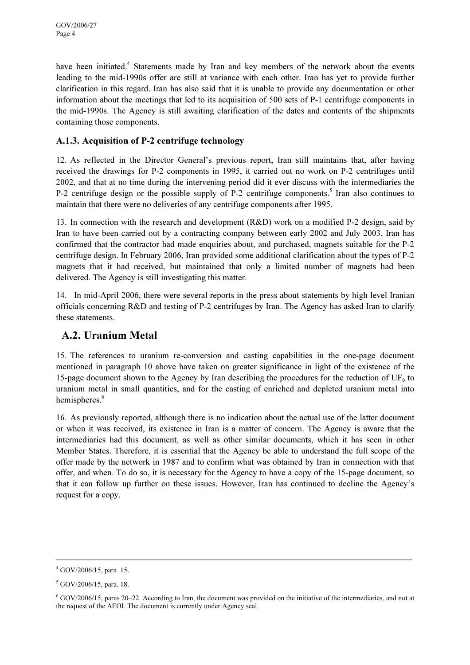have been initiated.<sup>4</sup> Statements made by Iran and key members of the network about the events leading to the mid-1990s offer are still at variance with each other. Iran has yet to provide further clarification in this regard. Iran has also said that it is unable to provide any documentation or other information about the meetings that led to its acquisition of 500 sets of P-1 centrifuge components in the mid-1990s. The Agency is still awaiting clarification of the dates and contents of the shipments containing those components.

#### A.1.3. Acquisition of P-2 centrifuge technology

12. As reflected in the Director General's previous report, Iran still maintains that, after having received the drawings for P-2 components in 1995, it carried out no work on P-2 centrifuges until 2002, and that at no time during the intervening period did it ever discuss with the intermediaries the P-2 centrifuge design or the possible supply of P-2 centrifuge components.<sup>5</sup> Iran also continues to maintain that there were no deliveries of any centrifuge components after 1995.

13. In connection with the research and development (R&D) work on a modified P-2 design, said by Iran to have been carried out by a contracting company between early 2002 and July 2003, Iran has confirmed that the contractor had made enquiries about, and purchased, magnets suitable for the P-2 centrifuge design. In February 2006, Iran provided some additional clarification about the types of P-2 magnets that it had received, but maintained that only a limited number of magnets had been delivered. The Agency is still investigating this matter.

14. In mid-April 2006, there were several reports in the press about statements by high level Iranian officials concerning R&D and testing of P-2 centrifuges by Iran. The Agency has asked Iran to clarify these statements.

#### A.2. Uranium Metal

15. The references to uranium re-conversion and casting capabilities in the one-page document mentioned in paragraph 10 above have taken on greater significance in light of the existence of the 15-page document shown to the Agency by Iran describing the procedures for the reduction of  $UF_6$  to uranium metal in small quantities, and for the casting of enriched and depleted uranium metal into hemispheres.<sup>6</sup>

16. As previously reported, although there is no indication about the actual use of the latter document or when it was received, its existence in Iran is a matter of concern. The Agency is aware that the intermediaries had this document, as well as other similar documents, which it has seen in other Member States. Therefore, it is essential that the Agency be able to understand the full scope of the offer made by the network in 1987 and to confirm what was obtained by Iran in connection with that offer, and when. To do so, it is necessary for the Agency to have a copy of the 15-page document, so that it can follow up further on these issues. However, Iran has continued to decline the Agency's request for a copy.

 $\_$ 

<sup>4</sup> GOV/2006/15, para. 15.

<sup>5</sup> GOV/2006/15, para. 18.

 $6$  GOV/2006/15, paras 20–22. According to Iran, the document was provided on the initiative of the intermediaries, and not at the request of the AEOI. The document is currently under Agency seal.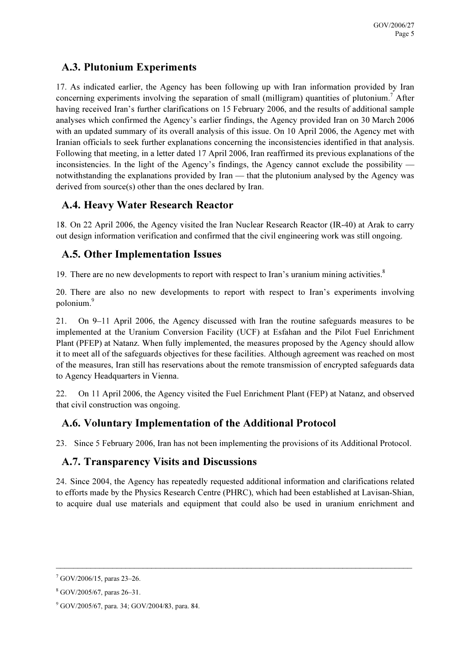#### A.3. Plutonium Experiments

17. As indicated earlier, the Agency has been following up with Iran information provided by Iran concerning experiments involving the separation of small (milligram) quantities of plutonium.<sup>7</sup> After having received Iran's further clarifications on 15 February 2006, and the results of additional sample analyses which confirmed the Agency's earlier findings, the Agency provided Iran on 30 March 2006 with an updated summary of its overall analysis of this issue. On 10 April 2006, the Agency met with Iranian officials to seek further explanations concerning the inconsistencies identified in that analysis. Following that meeting, in a letter dated 17 April 2006, Iran reaffirmed its previous explanations of the inconsistencies. In the light of the Agency's findings, the Agency cannot exclude the possibility notwithstanding the explanations provided by Iran — that the plutonium analysed by the Agency was derived from source(s) other than the ones declared by Iran.

#### A.4. Heavy Water Research Reactor

18. On 22 April 2006, the Agency visited the Iran Nuclear Research Reactor (IR-40) at Arak to carry out design information verification and confirmed that the civil engineering work was still ongoing.

#### A.5. Other Implementation Issues

19. There are no new developments to report with respect to Iran's uranium mining activities.<sup>8</sup>

20. There are also no new developments to report with respect to Iran's experiments involving polonium.<sup>9</sup>

21. On 9–11 April 2006, the Agency discussed with Iran the routine safeguards measures to be implemented at the Uranium Conversion Facility (UCF) at Esfahan and the Pilot Fuel Enrichment Plant (PFEP) at Natanz. When fully implemented, the measures proposed by the Agency should allow it to meet all of the safeguards objectives for these facilities. Although agreement was reached on most of the measures, Iran still has reservations about the remote transmission of encrypted safeguards data to Agency Headquarters in Vienna.

22. On 11 April 2006, the Agency visited the Fuel Enrichment Plant (FEP) at Natanz, and observed that civil construction was ongoing.

### A.6. Voluntary Implementation of the Additional Protocol

23. Since 5 February 2006, Iran has not been implementing the provisions of its Additional Protocol.

### A.7. Transparency Visits and Discussions

24. Since 2004, the Agency has repeatedly requested additional information and clarifications related to efforts made by the Physics Research Centre (PHRC), which had been established at Lavisan-Shian, to acquire dual use materials and equipment that could also be used in uranium enrichment and

<sup>7</sup> GOV/2006/15, paras 23–26.

<sup>8</sup> GOV/2005/67, paras 26–31.

<sup>9</sup> GOV/2005/67, para. 34; GOV/2004/83, para. 84.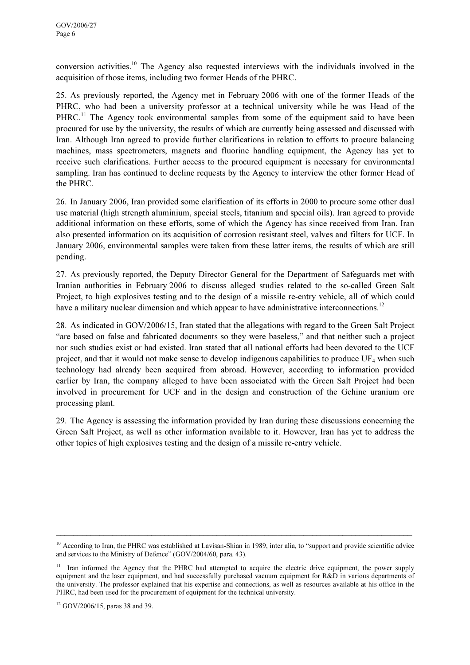conversion activities.<sup>10</sup> The Agency also requested interviews with the individuals involved in the acquisition of those items, including two former Heads of the PHRC.

25. As previously reported, the Agency met in February 2006 with one of the former Heads of the PHRC, who had been a university professor at a technical university while he was Head of the PHRC.<sup>11</sup> The Agency took environmental samples from some of the equipment said to have been procured for use by the university, the results of which are currently being assessed and discussed with Iran. Although Iran agreed to provide further clarifications in relation to efforts to procure balancing machines, mass spectrometers, magnets and fluorine handling equipment, the Agency has yet to receive such clarifications. Further access to the procured equipment is necessary for environmental sampling. Iran has continued to decline requests by the Agency to interview the other former Head of the PHRC.

26. In January 2006, Iran provided some clarification of its efforts in 2000 to procure some other dual use material (high strength aluminium, special steels, titanium and special oils). Iran agreed to provide additional information on these efforts, some of which the Agency has since received from Iran. Iran also presented information on its acquisition of corrosion resistant steel, valves and filters for UCF. In January 2006, environmental samples were taken from these latter items, the results of which are still pending.

27. As previously reported, the Deputy Director General for the Department of Safeguards met with Iranian authorities in February 2006 to discuss alleged studies related to the so-called Green Salt Project, to high explosives testing and to the design of a missile re-entry vehicle, all of which could have a military nuclear dimension and which appear to have administrative interconnections.<sup>12</sup>

28. As indicated in GOV/2006/15, Iran stated that the allegations with regard to the Green Salt Project "are based on false and fabricated documents so they were baseless," and that neither such a project nor such studies exist or had existed. Iran stated that all national efforts had been devoted to the UCF project, and that it would not make sense to develop indigenous capabilities to produce  $UF_4$  when such technology had already been acquired from abroad. However, according to information provided earlier by Iran, the company alleged to have been associated with the Green Salt Project had been involved in procurement for UCF and in the design and construction of the Gchine uranium ore processing plant.

29. The Agency is assessing the information provided by Iran during these discussions concerning the Green Salt Project, as well as other information available to it. However, Iran has yet to address the other topics of high explosives testing and the design of a missile re-entry vehicle.

 $\_$ 

 $10$  According to Iran, the PHRC was established at Lavisan-Shian in 1989, inter alia, to "support and provide scientific advice and services to the Ministry of Defence" (GOV/2004/60, para. 43).

<sup>&</sup>lt;sup>11</sup> Iran informed the Agency that the PHRC had attempted to acquire the electric drive equipment, the power supply equipment and the laser equipment, and had successfully purchased vacuum equipment for R&D in various departments of the university. The professor explained that his expertise and connections, as well as resources available at his office in the PHRC, had been used for the procurement of equipment for the technical university.

<sup>12</sup> GOV/2006/15, paras 38 and 39.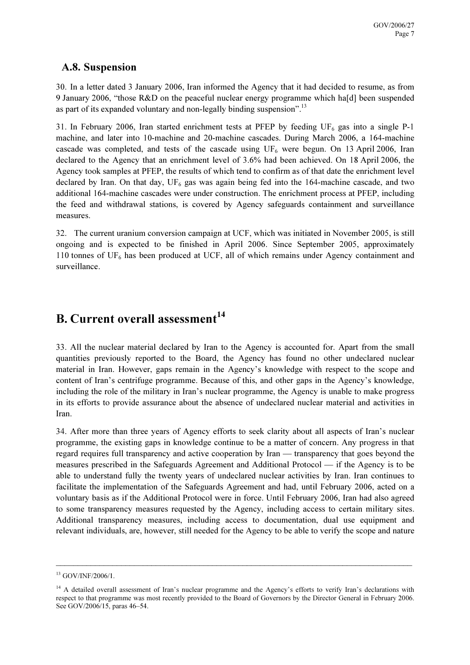#### A.8. Suspension

30. In a letter dated 3 January 2006, Iran informed the Agency that it had decided to resume, as from 9 January 2006, "those R&D on the peaceful nuclear energy programme which ha[d] been suspended as part of its expanded voluntary and non-legally binding suspension".<sup>13</sup>

31. In February 2006, Iran started enrichment tests at PFEP by feeding  $UF_6$  gas into a single P-1 machine, and later into 10-machine and 20-machine cascades. During March 2006, a 164-machine cascade was completed, and tests of the cascade using  $UF_6$  were begun. On 13 April 2006, Iran declared to the Agency that an enrichment level of 3.6% had been achieved. On 18 April 2006, the Agency took samples at PFEP, the results of which tend to confirm as of that date the enrichment level declared by Iran. On that day,  $UF_6$  gas was again being fed into the 164-machine cascade, and two additional 164-machine cascades were under construction. The enrichment process at PFEP, including the feed and withdrawal stations, is covered by Agency safeguards containment and surveillance measures.

32. The current uranium conversion campaign at UCF, which was initiated in November 2005, is still ongoing and is expected to be finished in April 2006. Since September 2005, approximately 110 tonnes of  $UF_6$  has been produced at UCF, all of which remains under Agency containment and surveillance.

## B. Current overall assessment $14$

33. All the nuclear material declared by Iran to the Agency is accounted for. Apart from the small quantities previously reported to the Board, the Agency has found no other undeclared nuclear material in Iran. However, gaps remain in the Agency's knowledge with respect to the scope and content of Iran's centrifuge programme. Because of this, and other gaps in the Agency's knowledge, including the role of the military in Iran's nuclear programme, the Agency is unable to make progress in its efforts to provide assurance about the absence of undeclared nuclear material and activities in Iran.

34. After more than three years of Agency efforts to seek clarity about all aspects of Iran's nuclear programme, the existing gaps in knowledge continue to be a matter of concern. Any progress in that regard requires full transparency and active cooperation by Iran — transparency that goes beyond the measures prescribed in the Safeguards Agreement and Additional Protocol — if the Agency is to be able to understand fully the twenty years of undeclared nuclear activities by Iran. Iran continues to facilitate the implementation of the Safeguards Agreement and had, until February 2006, acted on a voluntary basis as if the Additional Protocol were in force. Until February 2006, Iran had also agreed to some transparency measures requested by the Agency, including access to certain military sites. Additional transparency measures, including access to documentation, dual use equipment and relevant individuals, are, however, still needed for the Agency to be able to verify the scope and nature

 $\_$ 

<sup>13</sup> GOV/INF/2006/1.

<sup>&</sup>lt;sup>14</sup> A detailed overall assessment of Iran's nuclear programme and the Agency's efforts to verify Iran's declarations with respect to that programme was most recently provided to the Board of Governors by the Director General in February 2006. See GOV/2006/15, paras 46–54.